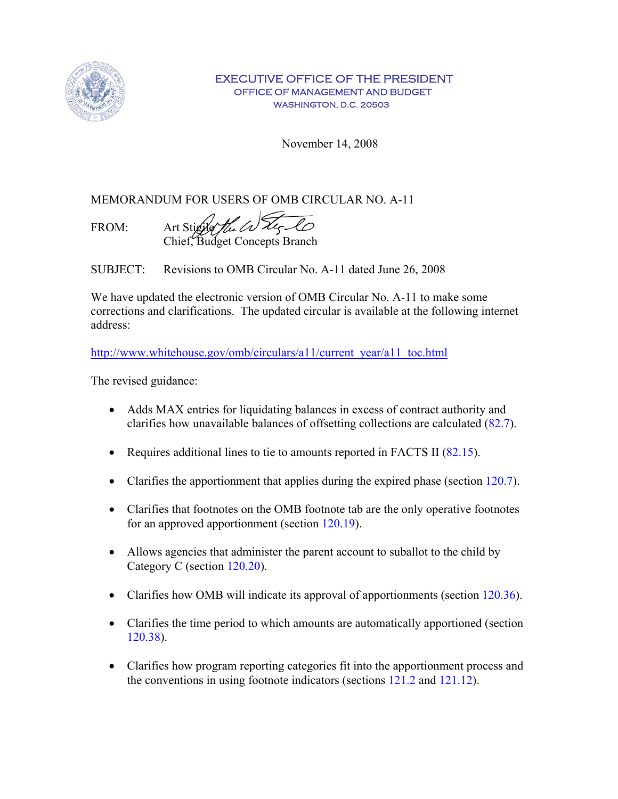

## EXECUTIVE OFFICE OF THE PRESIDENT OFFICE OF MANAGEMENT AND BUDGET WASHINGTON, D.C. 20503

November 14, 2008

MEMORANDUM FOR USERS OF OMB CIRCULAR NO. A-11

FROM: Art Stigile the Water Co Chief, Budget Concepts Branch

SUBJECT: Revisions to OMB Circular No. A-11 dated June 26, 2008

We have updated the electronic version of OMB Circular No. A-11 to make some corrections and clarifications. The updated circular is available at the following internet address:

[http://www.whitehouse.gov/omb/circulars/a11/current\\_year/a11\\_toc.html](http://www.whitehouse.gov/omb/circulars/a11/current_year/a11_toc.html)

The revised guidance:

- Adds MAX entries for liquidating balances in excess of contract authority and clarifies how unavailable balances of offsetting collections are calculated (82.7).
- Requires additional lines to tie to amounts reported in FACTS II (82.15).
- Clarifies the apportionment that applies during the expired phase (section 120.7).
- Clarifies that footnotes on the OMB footnote tab are the only operative footnotes for an approved apportionment (section 120.19).
- Allows agencies that administer the parent account to suballot to the child by Category C (section 120.20).
- Clarifies how OMB will indicate its approval of apportionments (section 120.36).
- Clarifies the time period to which amounts are automatically apportioned (section 120.38).
- Clarifies how program reporting categories fit into the apportionment process and the conventions in using footnote indicators (sections 121.2 and 121.12).